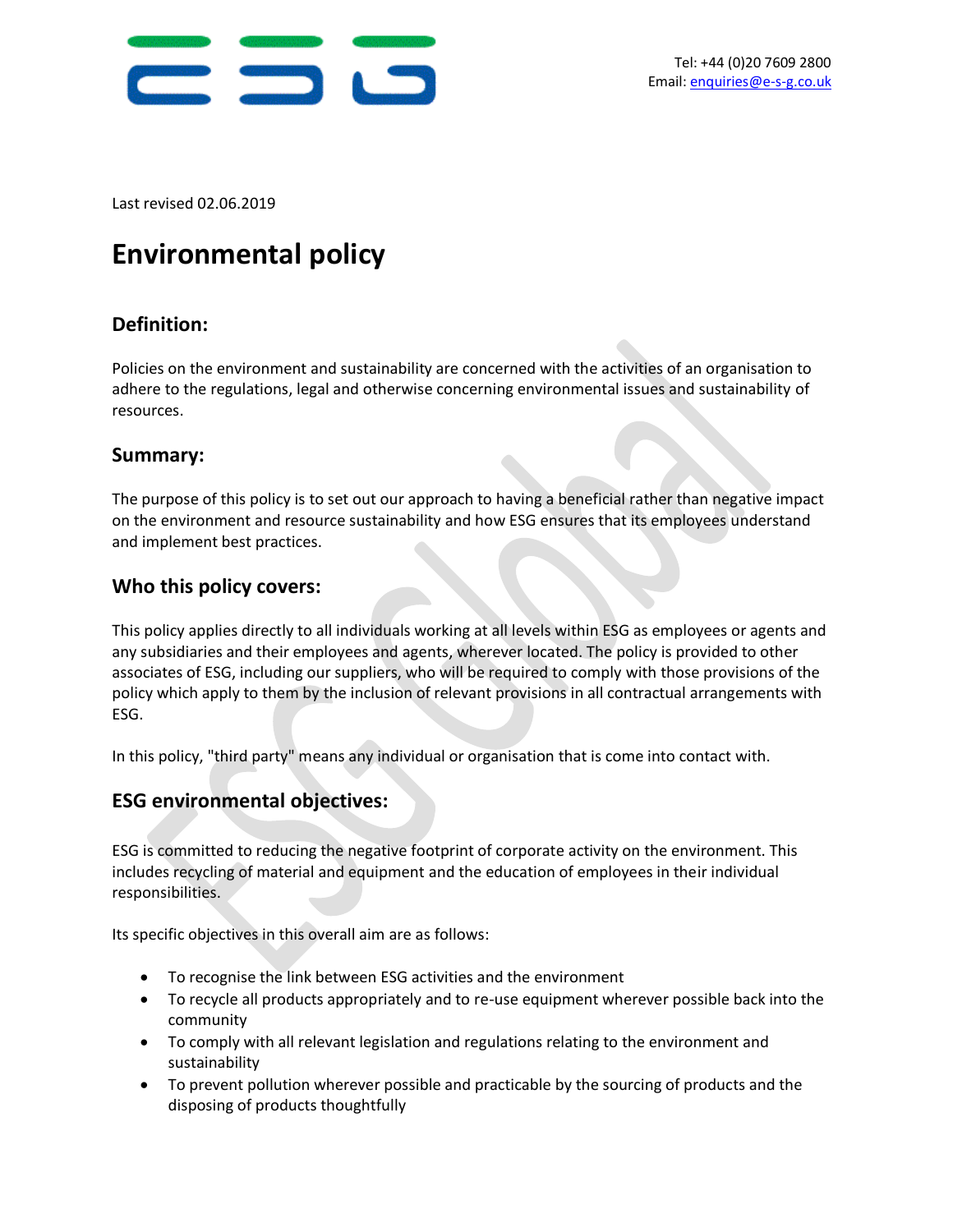

Last revised 02.06.2019

# **Environmental policy**

# **Definition:**

Policies on the environment and sustainability are concerned with the activities of an organisation to adhere to the regulations, legal and otherwise concerning environmental issues and sustainability of resources.

### **Summary:**

The purpose of this policy is to set out our approach to having a beneficial rather than negative impact on the environment and resource sustainability and how ESG ensures that its employees understand and implement best practices.

## **Who this policy covers:**

This policy applies directly to all individuals working at all levels within ESG as employees or agents and any subsidiaries and their employees and agents, wherever located. The policy is provided to other associates of ESG, including our suppliers, who will be required to comply with those provisions of the policy which apply to them by the inclusion of relevant provisions in all contractual arrangements with ESG.

In this policy, "third party" means any individual or organisation that is come into contact with.

### **ESG environmental objectives:**

ESG is committed to reducing the negative footprint of corporate activity on the environment. This includes recycling of material and equipment and the education of employees in their individual responsibilities.

Its specific objectives in this overall aim are as follows:

- To recognise the link between ESG activities and the environment
- To recycle all products appropriately and to re-use equipment wherever possible back into the community
- To comply with all relevant legislation and regulations relating to the environment and sustainability
- To prevent pollution wherever possible and practicable by the sourcing of products and the disposing of products thoughtfully